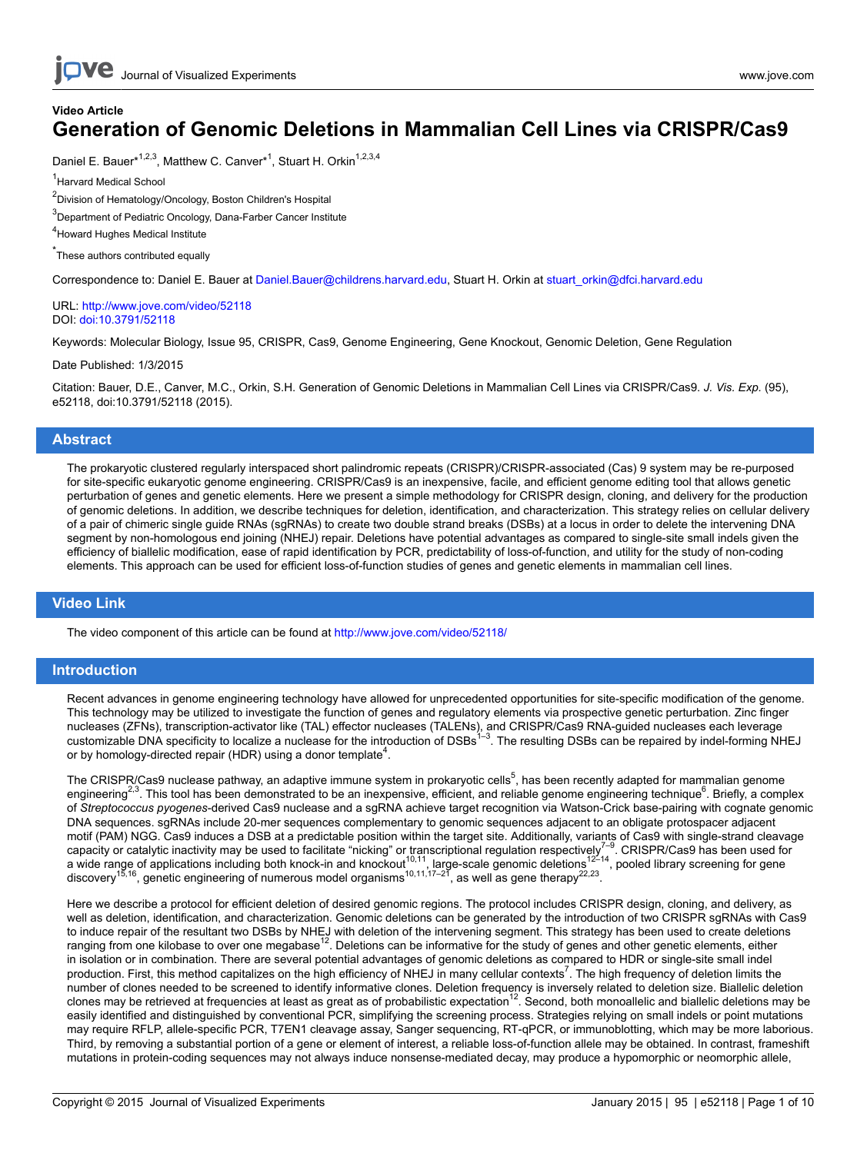### **Video Article Generation of Genomic Deletions in Mammalian Cell Lines via CRISPR/Cas9**

Daniel E. Bauer\*<sup>1,2,3</sup>, Matthew C. Canver\*<sup>1</sup>, Stuart H. Orkin<sup>1,2,3,4</sup>

<sup>1</sup>Harvard Medical School

<sup>2</sup>Division of Hematology/Oncology, Boston Children's Hospital

<sup>3</sup>Department of Pediatric Oncology, Dana-Farber Cancer Institute

4 Howard Hughes Medical Institute

\* These authors contributed equally

Correspondence to: Daniel E. Bauer at [Daniel.Bauer@childrens.harvard.edu,](mailto:Daniel.Bauer@childrens.harvard.edu) Stuart H. Orkin at [stuart\\_orkin@dfci.harvard.edu](mailto:stuart_orkin@dfci.harvard.edu)

URL:<http://www.jove.com/video/52118> DOI: [doi:10.3791/52118](http://dx.doi.org/10.3791/52118)

Keywords: Molecular Biology, Issue 95, CRISPR, Cas9, Genome Engineering, Gene Knockout, Genomic Deletion, Gene Regulation

Date Published: 1/3/2015

Citation: Bauer, D.E., Canver, M.C., Orkin, S.H. Generation of Genomic Deletions in Mammalian Cell Lines via CRISPR/Cas9. *J. Vis. Exp.* (95), e52118, doi:10.3791/52118 (2015).

#### **Abstract**

The prokaryotic clustered regularly interspaced short palindromic repeats (CRISPR)/CRISPR-associated (Cas) 9 system may be re-purposed for site-specific eukaryotic genome engineering. CRISPR/Cas9 is an inexpensive, facile, and efficient genome editing tool that allows genetic perturbation of genes and genetic elements. Here we present a simple methodology for CRISPR design, cloning, and delivery for the production of genomic deletions. In addition, we describe techniques for deletion, identification, and characterization. This strategy relies on cellular delivery of a pair of chimeric single guide RNAs (sgRNAs) to create two double strand breaks (DSBs) at a locus in order to delete the intervening DNA segment by non-homologous end joining (NHEJ) repair. Deletions have potential advantages as compared to single-site small indels given the efficiency of biallelic modification, ease of rapid identification by PCR, predictability of loss-of-function, and utility for the study of non-coding elements. This approach can be used for efficient loss-of-function studies of genes and genetic elements in mammalian cell lines.

### **Video Link**

The video component of this article can be found at <http://www.jove.com/video/52118/>

#### **Introduction**

Recent advances in genome engineering technology have allowed for unprecedented opportunities for site-specific modification of the genome. This technology may be utilized to investigate the function of genes and regulatory elements via prospective genetic perturbation. Zinc finger nucleases (ZFNs), transcription-activator like (TAL) effector nucleases (TALENs), and CRISPR/Cas9 RNA-guided nucleases each leverage customizable DNA specificity to localize a nuclease for the introduction of DSBs<sup>1–3</sup>. The resulting DSBs can be repaired by indel-forming NHEJ or by homology-directed repair (HDR) using a donor template<sup>4</sup>.

The CRISPR/Cas9 nuclease pathway, an adaptive immune system in prokaryotic cells<sup>5</sup>, has been recently adapted for mammalian genome engineering<sup>2,3</sup>. This tool has been demonstrated to be an inexpensive, efficient, and reliable genome engineering technique<sup>6</sup>. Briefly, a complex of *Streptococcus pyogenes*-derived Cas9 nuclease and a sgRNA achieve target recognition via Watson-Crick base-pairing with cognate genomic DNA sequences. sgRNAs include 20-mer sequences complementary to genomic sequences adjacent to an obligate protospacer adjacent motif (PAM) NGG. Cas9 induces a DSB at a predictable position within the target site. Additionally, variants of Cas9 with single-strand cleavage capacity or catalytic inactivity may be used to facilitate "nicking" or transcriptional regulation respectively<sup>7–9</sup>. CRISPR/Cas9 has been used for<br>a wide range of applications including both knock-in and knockout<sup>10,11</sup>, discovery<sup>15,16</sup>, genetic engineering of numerous model organisms<sup>10,11,17–21</sup>, as well as gene therapy<sup>22,23</sup>.

Here we describe a protocol for efficient deletion of desired genomic regions. The protocol includes CRISPR design, cloning, and delivery, as well as deletion, identification, and characterization. Genomic deletions can be generated by the introduction of two CRISPR sgRNAs with Cas9 to induce repair of the resultant two DSBs by NHEJ with deletion of the intervening segment. This strategy has been used to create deletions<br>ranging from one kilobase to over one megabase<sup>12</sup>. Deletions can be informative in isolation or in combination. There are several potential advantages of genomic deletions as compared to HDR or single-site small indel production. First, this method capitalizes on the high efficiency of NHEJ in many cellular contexts<sup>7</sup>. The high frequency of deletion limits the number of clones needed to be screened to identify informative clones. Deletion frequency is inversely related to deletion size. Biallelic deletion clones may be retrieved at frequencies at least as great as of probabilistic expectation<sup>12</sup>. Second, both monoallelic and biallelic deletions may be easily identified and distinguished by conventional PCR, simplifying the screening process. Strategies relying on small indels or point mutations may require RFLP, allele-specific PCR, T7EN1 cleavage assay, Sanger sequencing, RT-qPCR, or immunoblotting, which may be more laborious. Third, by removing a substantial portion of a gene or element of interest, a reliable loss-of-function allele may be obtained. In contrast, frameshift mutations in protein-coding sequences may not always induce nonsense-mediated decay, may produce a hypomorphic or neomorphic allele,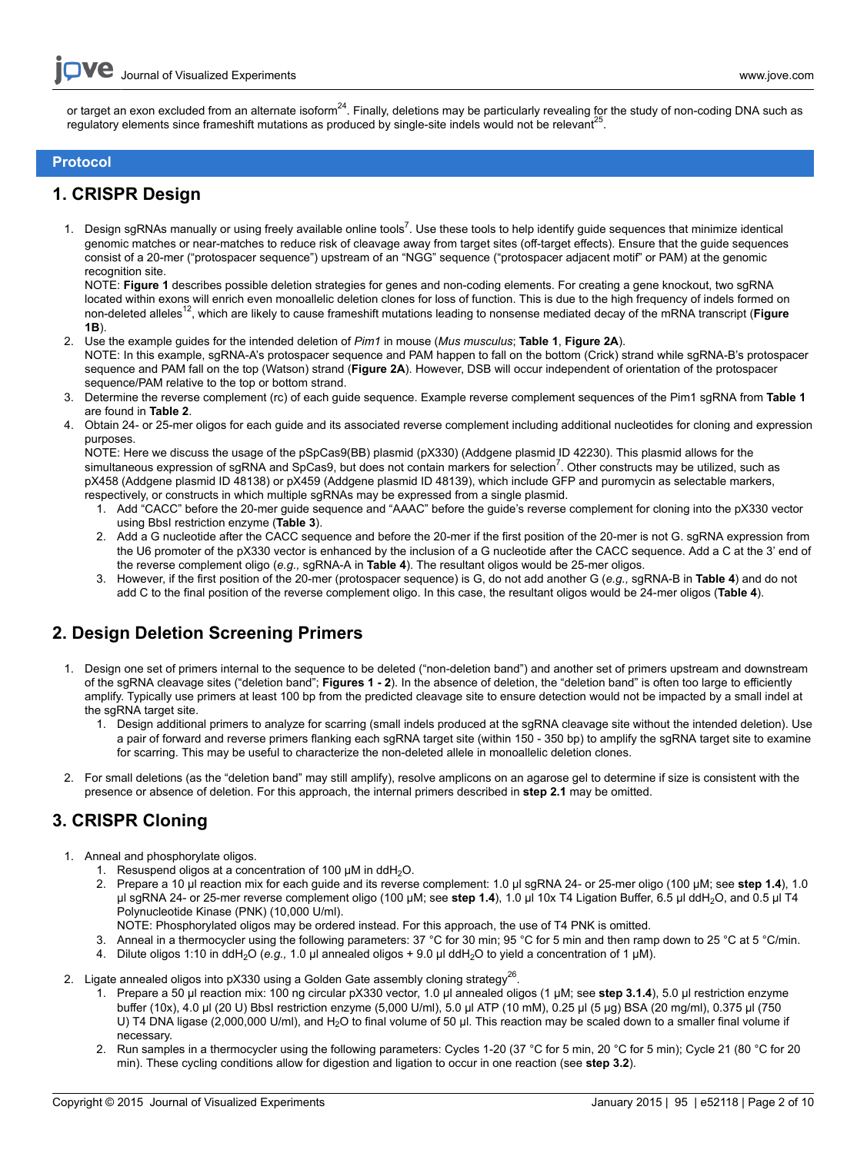or target an exon excluded from an alternate isoform<sup>24</sup>. Finally, deletions may be particularly revealing for the study of non-coding DNA such as regulatory elements since frameshift mutations as produced by single-site indels would not be relevant<sup>25</sup> .

### **Protocol**

### **1. CRISPR Design**

1. Design sgRNAs manually or using freely available online tools<sup>7</sup>. Use these tools to help identify guide sequences that minimize identical genomic matches or near-matches to reduce risk of cleavage away from target sites (off-target effects). Ensure that the guide sequences consist of a 20-mer ("protospacer sequence") upstream of an "NGG" sequence ("protospacer adjacent motif" or PAM) at the genomic recognition site.

NOTE: **Figure 1** describes possible deletion strategies for genes and non-coding elements. For creating a gene knockout, two sgRNA located within exons will enrich even monoallelic deletion clones for loss of function. This is due to the high frequency of indels formed on non-deleted alleles<sup>12</sup>, which are likely to cause frameshift mutations leading to nonsense mediated decay of the mRNA transcript (Figure **1B**).

- 2. Use the example guides for the intended deletion of *Pim1* in mouse (*Mus musculus*; **Table 1**, **Figure 2A**). NOTE: In this example, sgRNA-A's protospacer sequence and PAM happen to fall on the bottom (Crick) strand while sgRNA-B's protospacer sequence and PAM fall on the top (Watson) strand (**Figure 2A**). However, DSB will occur independent of orientation of the protospacer sequence/PAM relative to the top or bottom strand.
- 3. Determine the reverse complement (rc) of each guide sequence. Example reverse complement sequences of the Pim1 sgRNA from **Table 1** are found in **Table 2**.
- 4. Obtain 24- or 25-mer oligos for each guide and its associated reverse complement including additional nucleotides for cloning and expression purposes.

NOTE: Here we discuss the usage of the pSpCas9(BB) plasmid (pX330) (Addgene plasmid ID 42230). This plasmid allows for the simultaneous expression of sgRNA and SpCas9, but does not contain markers for selection<sup>7</sup>. Other constructs may be utilized, such as pX458 (Addgene plasmid ID 48138) or pX459 (Addgene plasmid ID 48139), which include GFP and puromycin as selectable markers, respectively, or constructs in which multiple sgRNAs may be expressed from a single plasmid.

- 1. Add "CACC" before the 20-mer guide sequence and "AAAC" before the guide's reverse complement for cloning into the pX330 vector using BbsI restriction enzyme (**Table 3**).
- 2. Add a G nucleotide after the CACC sequence and before the 20-mer if the first position of the 20-mer is not G. sgRNA expression from the U6 promoter of the pX330 vector is enhanced by the inclusion of a G nucleotide after the CACC sequence. Add a C at the 3' end of the reverse complement oligo (*e.g.,* sgRNA-A in **Table 4**). The resultant oligos would be 25-mer oligos.
- 3. However, if the first position of the 20-mer (protospacer sequence) is G, do not add another G (*e.g.,* sgRNA-B in **Table 4**) and do not add C to the final position of the reverse complement oligo. In this case, the resultant oligos would be 24-mer oligos (**Table 4**).

## **2. Design Deletion Screening Primers**

- 1. Design one set of primers internal to the sequence to be deleted ("non-deletion band") and another set of primers upstream and downstream of the sgRNA cleavage sites ("deletion band"; **Figures 1 - 2**). In the absence of deletion, the "deletion band" is often too large to efficiently amplify. Typically use primers at least 100 bp from the predicted cleavage site to ensure detection would not be impacted by a small indel at the sgRNA target site.
	- 1. Design additional primers to analyze for scarring (small indels produced at the sgRNA cleavage site without the intended deletion). Use a pair of forward and reverse primers flanking each sgRNA target site (within 150 - 350 bp) to amplify the sgRNA target site to examine for scarring. This may be useful to characterize the non-deleted allele in monoallelic deletion clones.
- 2. For small deletions (as the "deletion band" may still amplify), resolve amplicons on an agarose gel to determine if size is consistent with the presence or absence of deletion. For this approach, the internal primers described in **step 2.1** may be omitted.

## **3. CRISPR Cloning**

- 1. Anneal and phosphorylate oligos.
	- 1. Resuspend oligos at a concentration of 100  $\mu$ M in ddH<sub>2</sub>O.
	- 2. Prepare a 10 μl reaction mix for each guide and its reverse complement: 1.0 μl sgRNA 24- or 25-mer oligo (100 μM; see **step 1.4**), 1.0 μl sgRNA 24- or 25-mer reverse complement oligo (100 μM; see step 1.4), 1.0 μl 10x T4 Ligation Buffer, 6.5 μl ddH<sub>2</sub>O, and 0.5 μl T4 Polynucleotide Kinase (PNK) (10,000 U/ml).
	- NOTE: Phosphorylated oligos may be ordered instead. For this approach, the use of T4 PNK is omitted.
	- 3. Anneal in a thermocycler using the following parameters: 37 °C for 30 min; 95 °C for 5 min and then ramp down to 25 °C at 5 °C/min.
	- 4. Dilute oligos 1:10 in ddH2O (*e.g.,* 1.0 μl annealed oligos + 9.0 μl ddH2O to yield a concentration of 1 μM).
- 2. Ligate annealed oligos into pX330 using a Golden Gate assembly cloning strategy<sup>26</sup>.
	- 1. Prepare a 50 μl reaction mix: 100 ng circular pX330 vector, 1.0 μl annealed oligos (1 μM; see **step 3.1.4**), 5.0 μl restriction enzyme buffer (10x), 4.0 μl (20 U) BbsI restriction enzyme (5,000 U/ml), 5.0 μl ATP (10 mM), 0.25 μl (5 μg) BSA (20 mg/ml), 0.375 μl (750 U) T4 DNA ligase (2,000,000 U/ml), and H2O to final volume of 50 μl. This reaction may be scaled down to a smaller final volume if necessary.
	- 2. Run samples in a thermocycler using the following parameters: Cycles 1-20 (37 °C for 5 min, 20 °C for 5 min); Cycle 21 (80 °C for 20 min). These cycling conditions allow for digestion and ligation to occur in one reaction (see **step 3.2**).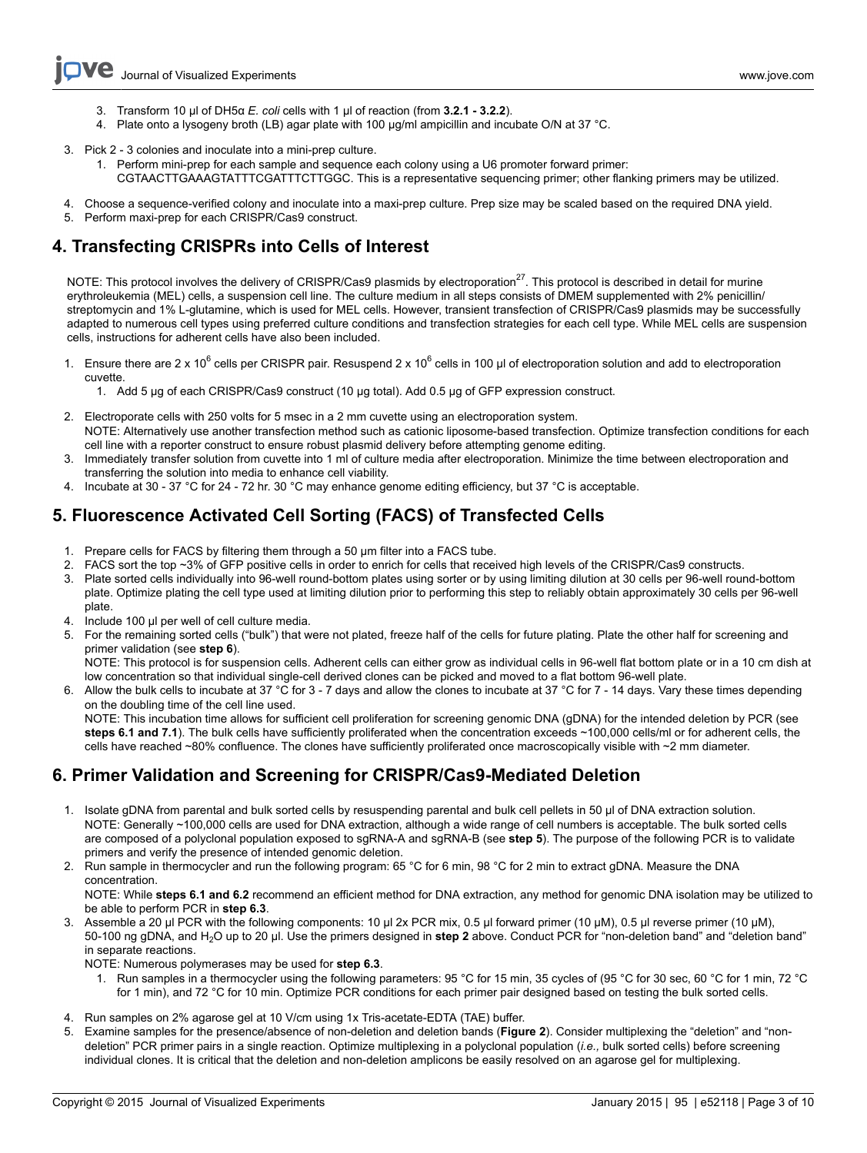- 3. Transform 10 μl of DH5α *E. coli* cells with 1 μl of reaction (from **3.2.1 3.2.2**).
- 4. Plate onto a lysogeny broth (LB) agar plate with 100 μg/ml ampicillin and incubate O/N at 37 °C.
- 3. Pick 2 3 colonies and inoculate into a mini-prep culture.
	- 1. Perform mini-prep for each sample and sequence each colony using a U6 promoter forward primer:
	- CGTAACTTGAAAGTATTTCGATTTCTTGGC. This is a representative sequencing primer; other flanking primers may be utilized.
- 4. Choose a sequence-verified colony and inoculate into a maxi-prep culture. Prep size may be scaled based on the required DNA yield.
- 5. Perform maxi-prep for each CRISPR/Cas9 construct.

# **4. Transfecting CRISPRs into Cells of Interest**

NOTE: This protocol involves the delivery of CRISPR/Cas9 plasmids by electroporation<sup>27</sup>. This protocol is described in detail for murine erythroleukemia (MEL) cells, a suspension cell line. The culture medium in all steps consists of DMEM supplemented with 2% penicillin/ streptomycin and 1% L-glutamine, which is used for MEL cells. However, transient transfection of CRISPR/Cas9 plasmids may be successfully adapted to numerous cell types using preferred culture conditions and transfection strategies for each cell type. While MEL cells are suspension cells, instructions for adherent cells have also been included.

- 1. Ensure there are 2 x 10<sup>6</sup> cells per CRISPR pair. Resuspend 2 x 10<sup>6</sup> cells in 100 μl of electroporation solution and add to electroporation cuvette.
	- 1. Add 5 μg of each CRISPR/Cas9 construct (10 μg total). Add 0.5 μg of GFP expression construct.
- 2. Electroporate cells with 250 volts for 5 msec in a 2 mm cuvette using an electroporation system. NOTE: Alternatively use another transfection method such as cationic liposome-based transfection. Optimize transfection conditions for each cell line with a reporter construct to ensure robust plasmid delivery before attempting genome editing.
- 3. Immediately transfer solution from cuvette into 1 ml of culture media after electroporation. Minimize the time between electroporation and transferring the solution into media to enhance cell viability.
- 4. Incubate at 30 37 °C for 24 72 hr. 30 °C may enhance genome editing efficiency, but 37 °C is acceptable.

# **5. Fluorescence Activated Cell Sorting (FACS) of Transfected Cells**

- 1. Prepare cells for FACS by filtering them through a 50 μm filter into a FACS tube.
- 2. FACS sort the top ~3% of GFP positive cells in order to enrich for cells that received high levels of the CRISPR/Cas9 constructs.
- 3. Plate sorted cells individually into 96-well round-bottom plates using sorter or by using limiting dilution at 30 cells per 96-well round-bottom plate. Optimize plating the cell type used at limiting dilution prior to performing this step to reliably obtain approximately 30 cells per 96-well plate.
- 4. Include 100 μl per well of cell culture media.
- 5. For the remaining sorted cells ("bulk") that were not plated, freeze half of the cells for future plating. Plate the other half for screening and primer validation (see **step 6**).

NOTE: This protocol is for suspension cells. Adherent cells can either grow as individual cells in 96-well flat bottom plate or in a 10 cm dish at low concentration so that individual single-cell derived clones can be picked and moved to a flat bottom 96-well plate.

6. Allow the bulk cells to incubate at 37 °C for 3 - 7 days and allow the clones to incubate at 37 °C for 7 - 14 days. Vary these times depending on the doubling time of the cell line used.

NOTE: This incubation time allows for sufficient cell proliferation for screening genomic DNA (gDNA) for the intended deletion by PCR (see steps 6.1 and 7.1). The bulk cells have sufficiently proliferated when the concentration exceeds ~100,000 cells/ml or for adherent cells, the cells have reached ~80% confluence. The clones have sufficiently proliferated once macroscopically visible with ~2 mm diameter.

# **6. Primer Validation and Screening for CRISPR/Cas9-Mediated Deletion**

- 1. Isolate gDNA from parental and bulk sorted cells by resuspending parental and bulk cell pellets in 50 μl of DNA extraction solution. NOTE: Generally ~100,000 cells are used for DNA extraction, although a wide range of cell numbers is acceptable. The bulk sorted cells are composed of a polyclonal population exposed to sgRNA-A and sgRNA-B (see **step 5**). The purpose of the following PCR is to validate primers and verify the presence of intended genomic deletion.
- 2. Run sample in thermocycler and run the following program: 65 °C for 6 min, 98 °C for 2 min to extract gDNA. Measure the DNA concentration.

NOTE: While **steps 6.1 and 6.2** recommend an efficient method for DNA extraction, any method for genomic DNA isolation may be utilized to be able to perform PCR in **step 6.3**.

3. Assemble a 20 μl PCR with the following components: 10 μl 2x PCR mix, 0.5 μl forward primer (10 μM), 0.5 μl reverse primer (10 μM), 50-100 ng gDNA, and H2O up to 20 μl. Use the primers designed in **step 2** above. Conduct PCR for "non-deletion band" and "deletion band" in separate reactions.

NOTE: Numerous polymerases may be used for **step 6.3**.

- 1. Run samples in a thermocycler using the following parameters: 95 °C for 15 min, 35 cycles of (95 °C for 30 sec, 60 °C for 1 min, 72 °C for 1 min), and 72 °C for 10 min. Optimize PCR conditions for each primer pair designed based on testing the bulk sorted cells.
- 4. Run samples on 2% agarose gel at 10 V/cm using 1x Tris-acetate-EDTA (TAE) buffer.
- 5. Examine samples for the presence/absence of non-deletion and deletion bands (**Figure 2**). Consider multiplexing the "deletion" and "nondeletion" PCR primer pairs in a single reaction. Optimize multiplexing in a polyclonal population (*i.e.,* bulk sorted cells) before screening individual clones. It is critical that the deletion and non-deletion amplicons be easily resolved on an agarose gel for multiplexing.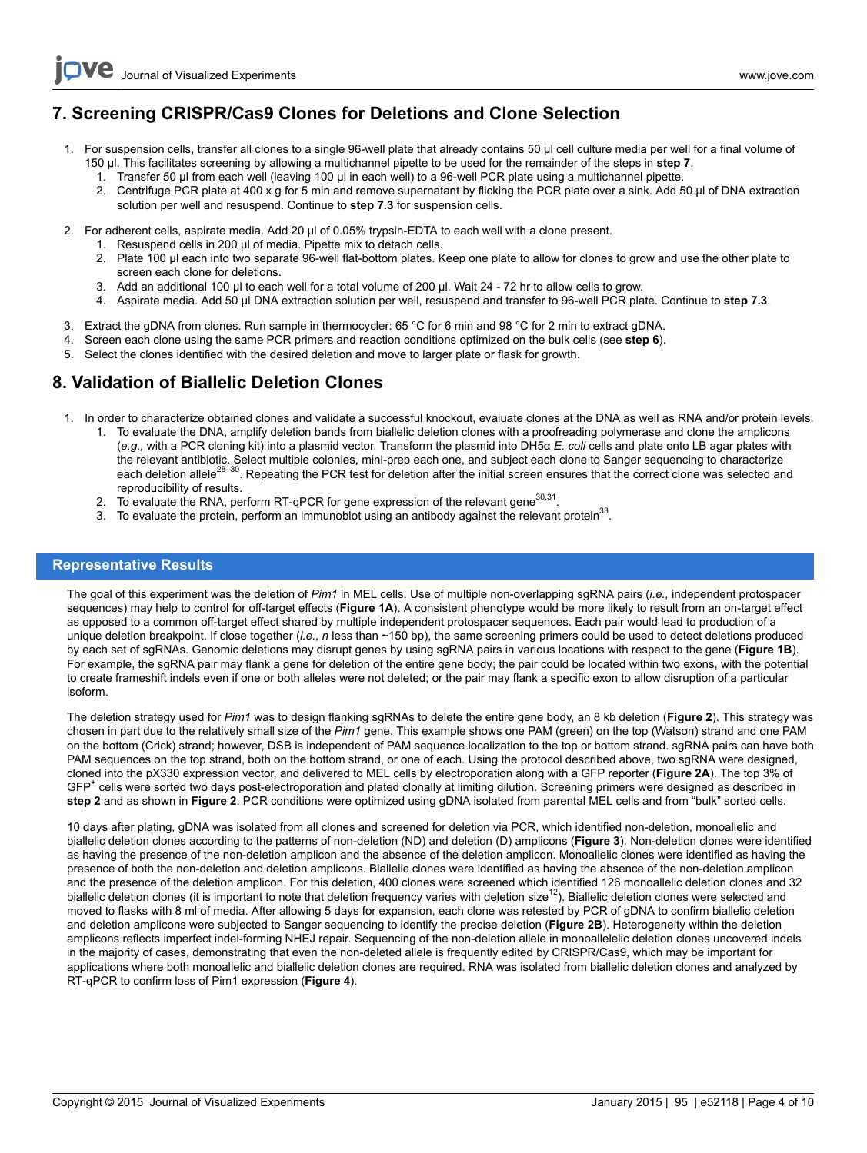# **7. Screening CRISPR/Cas9 Clones for Deletions and Clone Selection**

- 1. For suspension cells, transfer all clones to a single 96-well plate that already contains 50 μl cell culture media per well for a final volume of 150 μl. This facilitates screening by allowing a multichannel pipette to be used for the remainder of the steps in **step 7**.
	- 1. Transfer 50 μl from each well (leaving 100 μl in each well) to a 96-well PCR plate using a multichannel pipette.
	- 2. Centrifuge PCR plate at 400 x g for 5 min and remove supernatant by flicking the PCR plate over a sink. Add 50 μl of DNA extraction solution per well and resuspend. Continue to **step 7.3** for suspension cells.
- 2. For adherent cells, aspirate media. Add 20 μl of 0.05% trypsin-EDTA to each well with a clone present.
	- 1. Resuspend cells in 200 μl of media. Pipette mix to detach cells.
	- 2. Plate 100 μl each into two separate 96-well flat-bottom plates. Keep one plate to allow for clones to grow and use the other plate to screen each clone for deletions.
	- 3. Add an additional 100 μl to each well for a total volume of 200 μl. Wait 24 72 hr to allow cells to grow.
	- 4. Aspirate media. Add 50 μl DNA extraction solution per well, resuspend and transfer to 96-well PCR plate. Continue to **step 7.3**.
- 3. Extract the gDNA from clones. Run sample in thermocycler: 65 °C for 6 min and 98 °C for 2 min to extract gDNA.
- 4. Screen each clone using the same PCR primers and reaction conditions optimized on the bulk cells (see **step 6**).
- 5. Select the clones identified with the desired deletion and move to larger plate or flask for growth.

### **8. Validation of Biallelic Deletion Clones**

- 1. In order to characterize obtained clones and validate a successful knockout, evaluate clones at the DNA as well as RNA and/or protein levels.
	- 1. To evaluate the DNA, amplify deletion bands from biallelic deletion clones with a proofreading polymerase and clone the amplicons (*e.g.,* with a PCR cloning kit) into a plasmid vector. Transform the plasmid into DH5α *E. coli* cells and plate onto LB agar plates with the relevant antibiotic. Select multiple colonies, mini-prep each one, and subject each clone to Sanger sequencing to characterize<br>each deletion allele<sup>28–30</sup>. Repeating the PCR test for deletion after the initial screen e reproducibility of results.
	- 2. To evaluate the RNA, perform RT-qPCR for gene expression of the relevant gene<sup>30,31</sup>.
	- 3. To evaluate the protein, perform an immunoblot using an antibody against the relevant protein<sup>33</sup>.

### **Representative Results**

The goal of this experiment was the deletion of *Pim1* in MEL cells. Use of multiple non-overlapping sgRNA pairs (*i.e.,* independent protospacer sequences) may help to control for off-target effects (**Figure 1A**). A consistent phenotype would be more likely to result from an on-target effect as opposed to a common off-target effect shared by multiple independent protospacer sequences. Each pair would lead to production of a unique deletion breakpoint. If close together (*i.e., n* less than ~150 bp), the same screening primers could be used to detect deletions produced by each set of sgRNAs. Genomic deletions may disrupt genes by using sgRNA pairs in various locations with respect to the gene (**Figure 1B**). For example, the sgRNA pair may flank a gene for deletion of the entire gene body; the pair could be located within two exons, with the potential to create frameshift indels even if one or both alleles were not deleted; or the pair may flank a specific exon to allow disruption of a particular isoform.

The deletion strategy used for *Pim1* was to design flanking sgRNAs to delete the entire gene body, an 8 kb deletion (**Figure 2**). This strategy was chosen in part due to the relatively small size of the *Pim1* gene. This example shows one PAM (green) on the top (Watson) strand and one PAM on the bottom (Crick) strand; however, DSB is independent of PAM sequence localization to the top or bottom strand. sgRNA pairs can have both PAM sequences on the top strand, both on the bottom strand, or one of each. Using the protocol described above, two sgRNA were designed, cloned into the pX330 expression vector, and delivered to MEL cells by electroporation along with a GFP reporter (**Figure 2A**). The top 3% of GFP<sup>+</sup> cells were sorted two days post-electroporation and plated clonally at limiting dilution. Screening primers were designed as described in **step 2** and as shown in **Figure 2**. PCR conditions were optimized using gDNA isolated from parental MEL cells and from "bulk" sorted cells.

10 days after plating, gDNA was isolated from all clones and screened for deletion via PCR, which identified non-deletion, monoallelic and biallelic deletion clones according to the patterns of non-deletion (ND) and deletion (D) amplicons (**Figure 3**). Non-deletion clones were identified as having the presence of the non-deletion amplicon and the absence of the deletion amplicon. Monoallelic clones were identified as having the presence of both the non-deletion and deletion amplicons. Biallelic clones were identified as having the absence of the non-deletion amplicon and the presence of the deletion amplicon. For this deletion, 400 clones were screened which identified 126 monoallelic deletion clones and 32 biallelic deletion clones (it is important to note that deletion frequency varies with deletion size<sup>12</sup>). Biallelic deletion clones were selected and moved to flasks with 8 ml of media. After allowing 5 days for expansion, each clone was retested by PCR of gDNA to confirm biallelic deletion and deletion amplicons were subjected to Sanger sequencing to identify the precise deletion (**Figure 2B**). Heterogeneity within the deletion amplicons reflects imperfect indel-forming NHEJ repair. Sequencing of the non-deletion allele in monoallelelic deletion clones uncovered indels in the majority of cases, demonstrating that even the non-deleted allele is frequently edited by CRISPR/Cas9, which may be important for applications where both monoallelic and biallelic deletion clones are required. RNA was isolated from biallelic deletion clones and analyzed by RT-qPCR to confirm loss of Pim1 expression (**Figure 4**).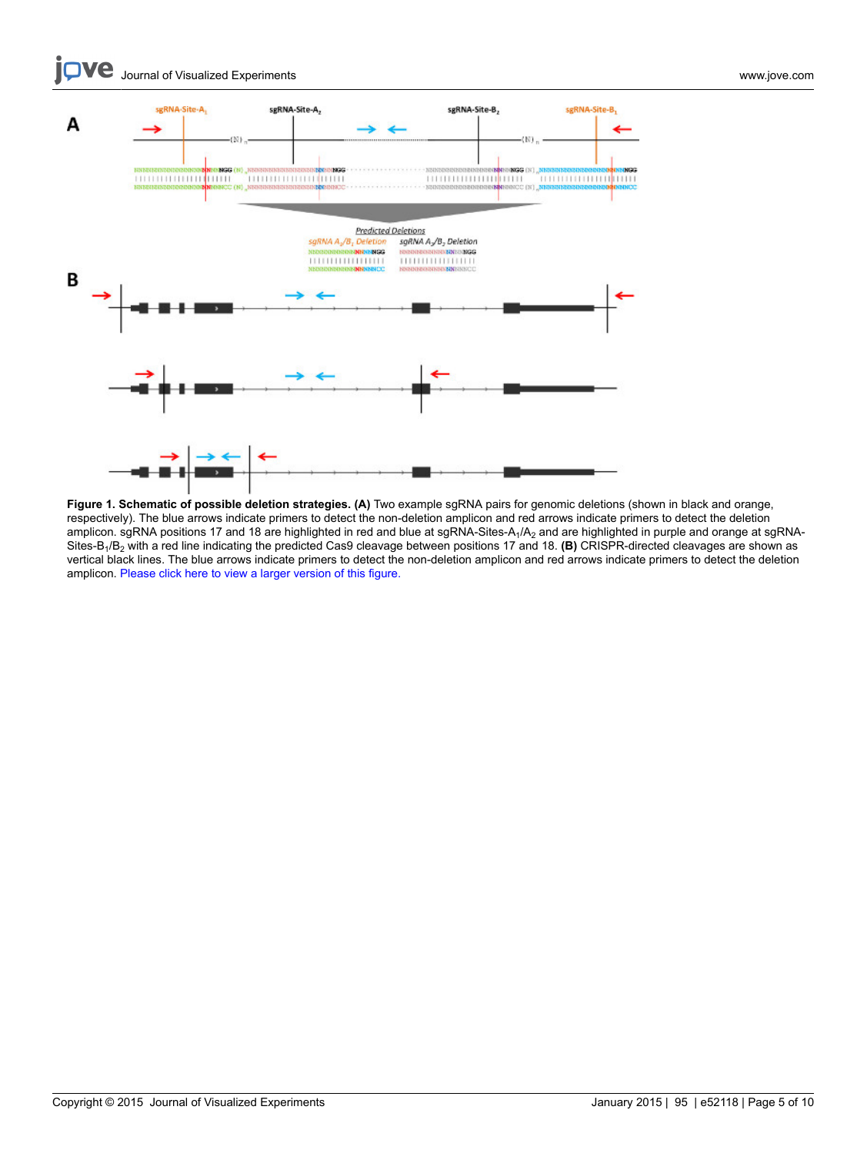**love** Journal of Visualized [Experiments](http://www.jove.com) [www.jove.com](http://www.jove.com)



**Figure 1. Schematic of possible deletion strategies. (A)** Two example sgRNA pairs for genomic deletions (shown in black and orange, respectively). The blue arrows indicate primers to detect the non-deletion amplicon and red arrows indicate primers to detect the deletion amplicon. sgRNA positions 17 and 18 are highlighted in red and blue at sgRNA-Sites-A<sub>1</sub>/A<sub>2</sub> and are highlighted in purple and orange at sgRNA-Sites-B1/B2 with a red line indicating the predicted Cas9 cleavage between positions 17 and 18. **(B)** CRISPR-directed cleavages are shown as vertical black lines. The blue arrows indicate primers to detect the non-deletion amplicon and red arrows indicate primers to detect the deletion amplicon. [Please click here to view a larger version of this figure.](https://www.jove.com/files/ftp_upload/52118/52118fig1large.jpg)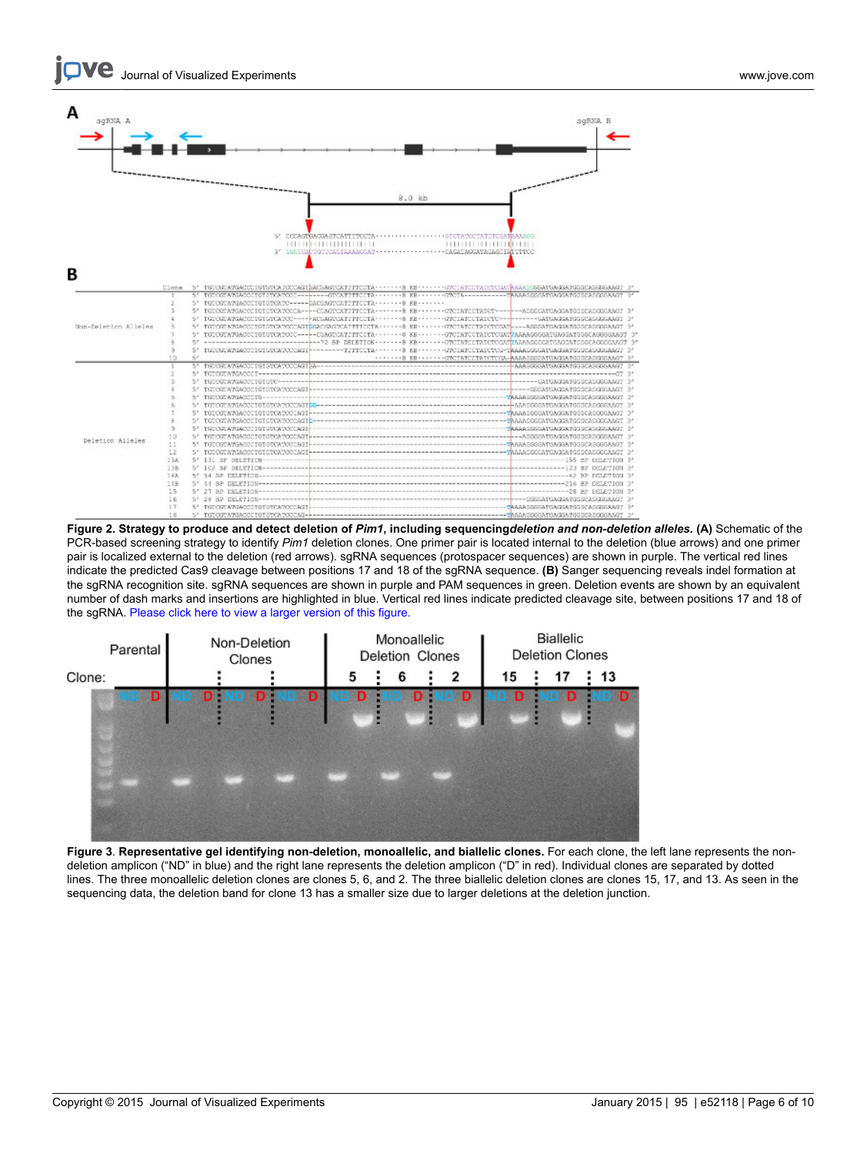

**Figure 2. Strategy to produce and detect deletion of** *Pim1***, including sequencing***deletion and non-deletion alleles.* **(A)** Schematic of the PCR-based screening strategy to identify *Pim1* deletion clones. One primer pair is located internal to the deletion (blue arrows) and one primer pair is localized external to the deletion (red arrows). sgRNA sequences (protospacer sequences) are shown in purple. The vertical red lines indicate the predicted Cas9 cleavage between positions 17 and 18 of the sgRNA sequence. **(B)** Sanger sequencing reveals indel formation at the sgRNA recognition site. sgRNA sequences are shown in purple and PAM sequences in green. Deletion events are shown by an equivalent number of dash marks and insertions are highlighted in blue. Vertical red lines indicate predicted cleavage site, between positions 17 and 18 of the sgRNA. [Please click here to view a larger version of this figure.](https://www.jove.com/files/ftp_upload/52118/52118fig2large.jpg)



**Figure 3**. **Representative gel identifying non-deletion, monoallelic, and biallelic clones.** For each clone, the left lane represents the nondeletion amplicon ("ND" in blue) and the right lane represents the deletion amplicon ("D" in red). Individual clones are separated by dotted lines. The three monoallelic deletion clones are clones 5, 6, and 2. The three biallelic deletion clones are clones 15, 17, and 13. As seen in the sequencing data, the deletion band for clone 13 has a smaller size due to larger deletions at the deletion junction.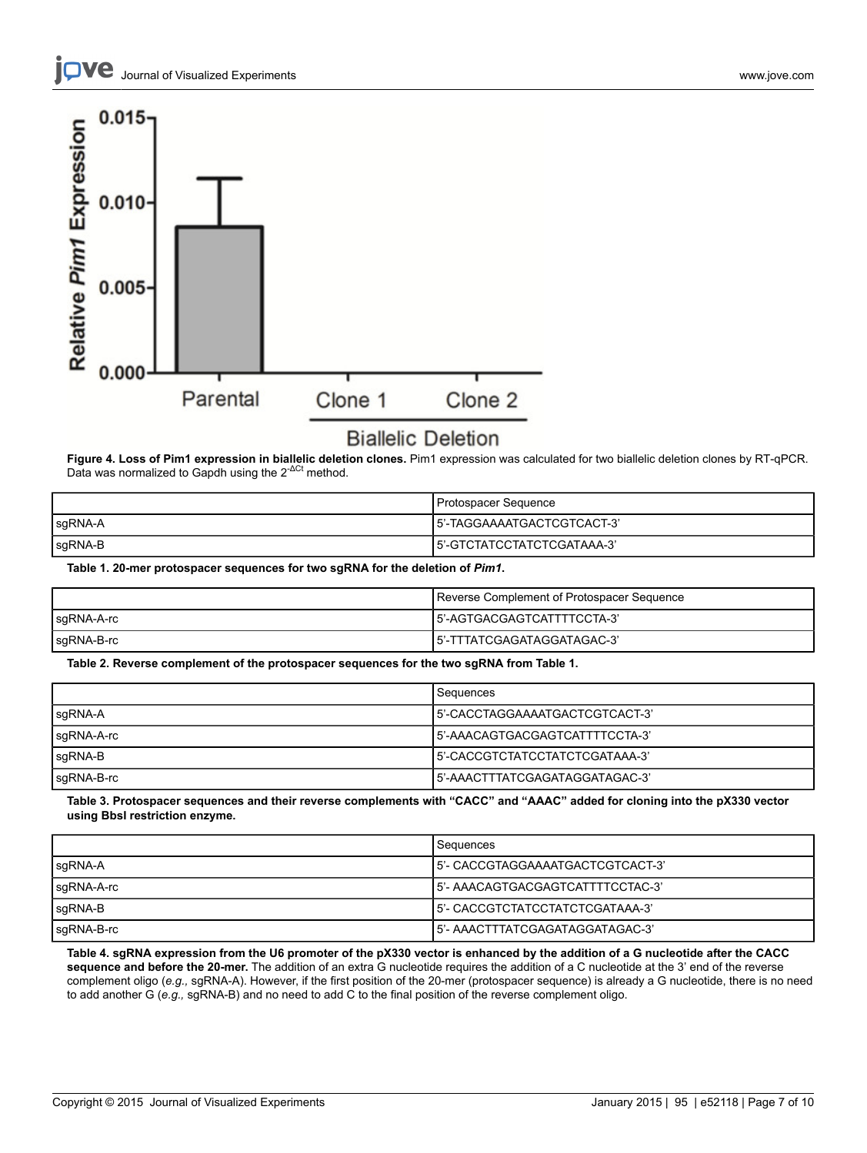

# **Biallelic Deletion**

**Figure 4. Loss of Pim1 expression in biallelic deletion clones.** Pim1 expression was calculated for two biallelic deletion clones by RT-qPCR.<br>Data was normalized to Gapdh using the 2<sup>-ΔCt</sup> method.

|         | Protospacer Sequence        |
|---------|-----------------------------|
| sgRNA-A | 15'-TAGGAAAATGACTCGTCACT-3' |
| sgRNA-B | l5'-GTCTATCCTATCTCGATAAA-3' |

**Table 1. 20-mer protospacer sequences for two sgRNA for the deletion of** *Pim1***.**

|            | Reverse Complement of Protospacer Sequence |
|------------|--------------------------------------------|
| sgRNA-A-rc | 15'-AGTGACGAGTCATTTTCCTA-3'                |
| sgRNA-B-rc | l5'-TTTATCGAGATAGGATAGAC-3'                |

**Table 2. Reverse complement of the protospacer sequences for the two sgRNA from Table 1.**

|            | Sequences                       |
|------------|---------------------------------|
| sgRNA-A    | 15'-CACCTAGGAAAATGACTCGTCACT-3' |
| sgRNA-A-rc | 5'-AAACAGTGACGAGTCATTTTCCTA-3'  |
| $sgRNA-B$  | 15'-CACCGTCTATCCTATCTCGATAAA-3' |
| sgRNA-B-rc | 15'-AAACTTTATCGAGATAGGATAGAC-3' |

Table 3. Protospacer sequences and their reverse complements with "CACC" and "AAAC" added for cloning into the pX330 vector **using BbsI restriction enzyme.**

|            | Sequences                         |
|------------|-----------------------------------|
| sgRNA-A    | 15'- CACCGTAGGAAAATGACTCGTCACT-3' |
| sgRNA-A-rc | 15'- AAACAGTGACGAGTCATTTTCCTAC-3' |
| sgRNA-B    | 15'- CACCGTCTATCCTATCTCGATAAA-3'  |
| sgRNA-B-rc | 15'- AAACTTTATCGAGATAGGATAGAC-3'  |

Table 4. sgRNA expression from the U6 promoter of the pX330 vector is enhanced by the addition of a G nucleotide after the CACC **sequence and before the 20-mer.** The addition of an extra G nucleotide requires the addition of a C nucleotide at the 3' end of the reverse complement oligo (*e.g.,* sgRNA-A). However, if the first position of the 20-mer (protospacer sequence) is already a G nucleotide, there is no need to add another G (*e.g.,* sgRNA-B) and no need to add C to the final position of the reverse complement oligo.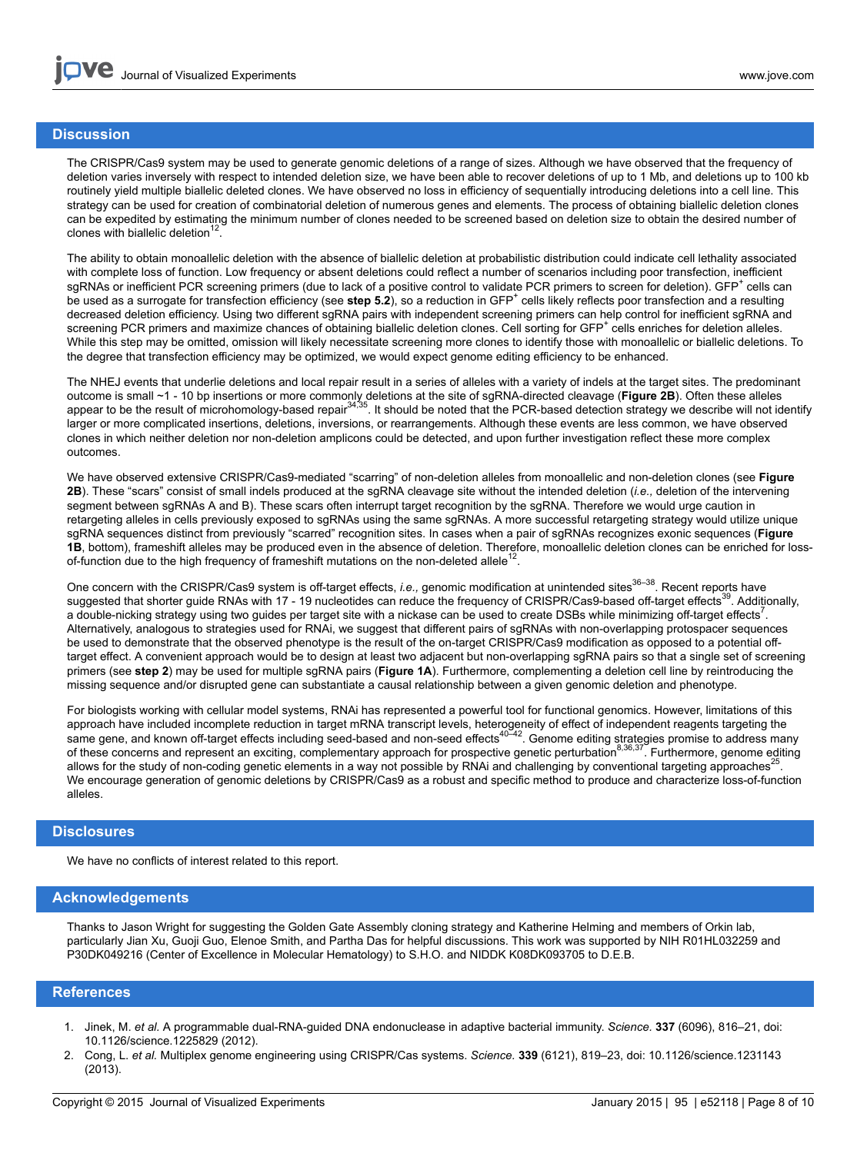### **Discussion**

The CRISPR/Cas9 system may be used to generate genomic deletions of a range of sizes. Although we have observed that the frequency of deletion varies inversely with respect to intended deletion size, we have been able to recover deletions of up to 1 Mb, and deletions up to 100 kb routinely yield multiple biallelic deleted clones. We have observed no loss in efficiency of sequentially introducing deletions into a cell line. This strategy can be used for creation of combinatorial deletion of numerous genes and elements. The process of obtaining biallelic deletion clones can be expedited by estimating the minimum number of clones needed to be screened based on deletion size to obtain the desired number of clones with biallelic deletion $12$ .

The ability to obtain monoallelic deletion with the absence of biallelic deletion at probabilistic distribution could indicate cell lethality associated with complete loss of function. Low frequency or absent deletions could reflect a number of scenarios including poor transfection, inefficient sgRNAs or inefficient PCR screening primers (due to lack of a positive control to validate PCR primers to screen for deletion). GFP<sup>+</sup> cells can be used as a surrogate for transfection efficiency (see step 5.2), so a reduction in GFP<sup>+</sup> cells likely reflects poor transfection and a resulting decreased deletion efficiency. Using two different sgRNA pairs with independent screening primers can help control for inefficient sgRNA and screening PCR primers and maximize chances of obtaining biallelic deletion clones. Cell sorting for GFP<sup>+</sup> cells enriches for deletion alleles. While this step may be omitted, omission will likely necessitate screening more clones to identify those with monoallelic or biallelic deletions. To the degree that transfection efficiency may be optimized, we would expect genome editing efficiency to be enhanced.

The NHEJ events that underlie deletions and local repair result in a series of alleles with a variety of indels at the target sites. The predominant outcome is small ∼1 - 10 bp insertions or more commonly deletions at the site of sgRNA-directed cleavage (**Figure 2B**). Often these alleles<br>appear to be the result of microhomology-based repair<sup>34,35</sup>. It should be noted larger or more complicated insertions, deletions, inversions, or rearrangements. Although these events are less common, we have observed clones in which neither deletion nor non-deletion amplicons could be detected, and upon further investigation reflect these more complex outcomes.

We have observed extensive CRISPR/Cas9-mediated "scarring" of non-deletion alleles from monoallelic and non-deletion clones (see **Figure 2B**). These "scars" consist of small indels produced at the sgRNA cleavage site without the intended deletion (*i.e.,* deletion of the intervening segment between sgRNAs A and B). These scars often interrupt target recognition by the sgRNA. Therefore we would urge caution in retargeting alleles in cells previously exposed to sgRNAs using the same sgRNAs. A more successful retargeting strategy would utilize unique sgRNA sequences distinct from previously "scarred" recognition sites. In cases when a pair of sgRNAs recognizes exonic sequences (**Figure 1B**, bottom), frameshift alleles may be produced even in the absence of deletion. Therefore, monoallelic deletion clones can be enriched for lossof-function due to the high frequency of frameshift mutations on the non-deleted allele<sup>1</sup> .

One concern with the CRISPR/Cas9 system is off-target effects, *i.e.*, genomic modification at unintended sites<sup>36-38</sup>. Recent reports have suggested that shorter guide RNAs with 17 - 19 nucleotides can reduce the frequency of CRISPR/Cas9-based off-target effects<sup>39</sup>. Additionally, a double-nicking strategy using two guides per target site with a nickase can be used to create DSBs while minimizing off-target effects<sup>7</sup>. Alternatively, analogous to strategies used for RNAi, we suggest that different pairs of sgRNAs with non-overlapping protospacer sequences be used to demonstrate that the observed phenotype is the result of the on-target CRISPR/Cas9 modification as opposed to a potential offtarget effect. A convenient approach would be to design at least two adjacent but non-overlapping sgRNA pairs so that a single set of screening primers (see **step 2**) may be used for multiple sgRNA pairs (**Figure 1A**). Furthermore, complementing a deletion cell line by reintroducing the missing sequence and/or disrupted gene can substantiate a causal relationship between a given genomic deletion and phenotype.

For biologists working with cellular model systems, RNAi has represented a powerful tool for functional genomics. However, limitations of this approach have included incomplete reduction in target mRNA transcript levels, heterogeneity of effect of independent reagents targeting the same gene, and known off-target effects including seed-based and non-seed effects<sup>40-42</sup>. Genome editing strategies promise to address many of these concerns and represent an exciting, complementary approach for prospective genetic perturbation<sup>8,36,37</sup>. Furthermore, genome editing allows for the study of non-coding genetic elements in a way not possible by RNAi and challenging by conventional targeting approaches<sup>21</sup> . We encourage generation of genomic deletions by CRISPR/Cas9 as a robust and specific method to produce and characterize loss-of-function alleles.

### **Disclosures**

We have no conflicts of interest related to this report.

#### **Acknowledgements**

Thanks to Jason Wright for suggesting the Golden Gate Assembly cloning strategy and Katherine Helming and members of Orkin lab, particularly Jian Xu, Guoji Guo, Elenoe Smith, and Partha Das for helpful discussions. This work was supported by NIH R01HL032259 and P30DK049216 (Center of Excellence in Molecular Hematology) to S.H.O. and NIDDK K08DK093705 to D.E.B.

### **References**

- 1. Jinek, M. *et al.* A programmable dual-RNA-guided DNA endonuclease in adaptive bacterial immunity. *Science.* **337** (6096), 816–21, doi: 10.1126/science.1225829 (2012).
- 2. Cong, L. *et al.* Multiplex genome engineering using CRISPR/Cas systems. *Science.* **339** (6121), 819–23, doi: 10.1126/science.1231143 (2013).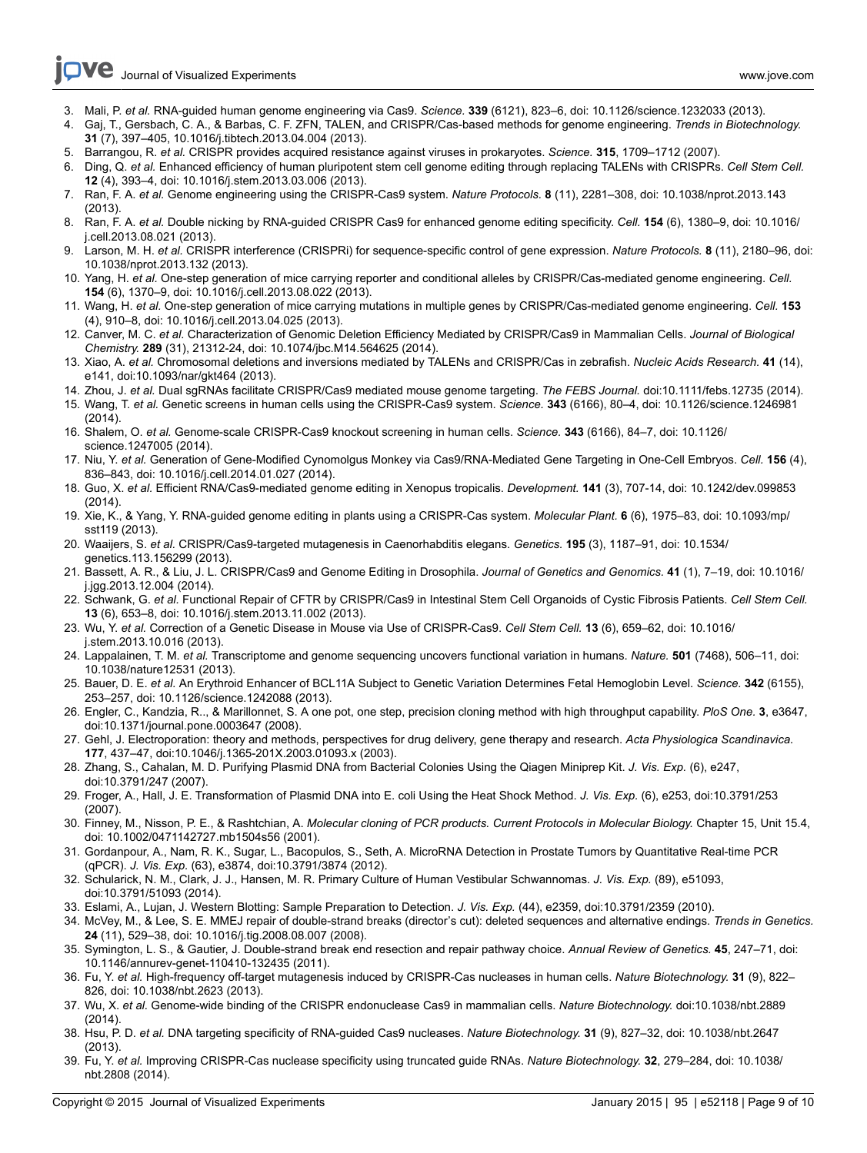- 3. Mali, P. *et al.* RNA-guided human genome engineering via Cas9. *Science.* **339** (6121), 823–6, doi: 10.1126/science.1232033 (2013).
- 4. Gaj, T., Gersbach, C. A., & Barbas, C. F. ZFN, TALEN, and CRISPR/Cas-based methods for genome engineering. *Trends in Biotechnology.* **31** (7), 397–405, 10.1016/j.tibtech.2013.04.004 (2013).
- 5. Barrangou, R. *et al.* CRISPR provides acquired resistance against viruses in prokaryotes. *Science.* **315**, 1709–1712 (2007).
- 6. Ding, Q. *et al.* Enhanced efficiency of human pluripotent stem cell genome editing through replacing TALENs with CRISPRs. *Cell Stem Cell.* **12** (4), 393–4, doi: 10.1016/j.stem.2013.03.006 (2013).
- 7. Ran, F. A. *et al.* Genome engineering using the CRISPR-Cas9 system. *Nature Protocols.* **8** (11), 2281–308, doi: 10.1038/nprot.2013.143 (2013).
- 8. Ran, F. A. *et al.* Double nicking by RNA-guided CRISPR Cas9 for enhanced genome editing specificity. *Cell.* **154** (6), 1380–9, doi: 10.1016/ j.cell.2013.08.021 (2013).
- 9. Larson, M. H. *et al.* CRISPR interference (CRISPRi) for sequence-specific control of gene expression. *Nature Protocols.* **8** (11), 2180–96, doi: 10.1038/nprot.2013.132 (2013).
- 10. Yang, H. *et al.* One-step generation of mice carrying reporter and conditional alleles by CRISPR/Cas-mediated genome engineering. *Cell.* **154** (6), 1370–9, doi: 10.1016/j.cell.2013.08.022 (2013).
- 11. Wang, H. *et al.* One-step generation of mice carrying mutations in multiple genes by CRISPR/Cas-mediated genome engineering. *Cell.* **153** (4), 910–8, doi: 10.1016/j.cell.2013.04.025 (2013).
- 12. Canver, M. C. *et al.* Characterization of Genomic Deletion Efficiency Mediated by CRISPR/Cas9 in Mammalian Cells. *Journal of Biological Chemistry.* **289** (31), 21312-24, doi: 10.1074/jbc.M14.564625 (2014).
- 13. Xiao, A. *et al.* Chromosomal deletions and inversions mediated by TALENs and CRISPR/Cas in zebrafish. *Nucleic Acids Research.* **41** (14), e141, doi:10.1093/nar/gkt464 (2013).
- 14. Zhou, J. *et al.* Dual sgRNAs facilitate CRISPR/Cas9 mediated mouse genome targeting. *The FEBS Journal.* doi:10.1111/febs.12735 (2014).
- 15. Wang, T. *et al.* Genetic screens in human cells using the CRISPR-Cas9 system. *Science.* **343** (6166), 80–4, doi: 10.1126/science.1246981 (2014).
- 16. Shalem, O. *et al.* Genome-scale CRISPR-Cas9 knockout screening in human cells. *Science.* **343** (6166), 84–7, doi: 10.1126/ science.1247005 (2014).
- 17. Niu, Y. *et al.* Generation of Gene-Modified Cynomolgus Monkey via Cas9/RNA-Mediated Gene Targeting in One-Cell Embryos. *Cell.* **156** (4), 836–843, doi: 10.1016/j.cell.2014.01.027 (2014).
- 18. Guo, X. *et al.* Efficient RNA/Cas9-mediated genome editing in Xenopus tropicalis. *Development.* **141** (3), 707-14, doi: 10.1242/dev.099853 (2014).
- 19. Xie, K., & Yang, Y. RNA-guided genome editing in plants using a CRISPR-Cas system. *Molecular Plant.* **6** (6), 1975–83, doi: 10.1093/mp/ sst119 (2013).
- 20. Waaijers, S. *et al.* CRISPR/Cas9-targeted mutagenesis in Caenorhabditis elegans. *Genetics.* **195** (3), 1187–91, doi: 10.1534/ genetics.113.156299 (2013).
- 21. Bassett, A. R., & Liu, J. L. CRISPR/Cas9 and Genome Editing in Drosophila. *Journal of Genetics and Genomics.* **41** (1), 7–19, doi: 10.1016/ j.jgg.2013.12.004 (2014).
- 22. Schwank, G. *et al.* Functional Repair of CFTR by CRISPR/Cas9 in Intestinal Stem Cell Organoids of Cystic Fibrosis Patients. *Cell Stem Cell.* **13** (6), 653–8, doi: 10.1016/j.stem.2013.11.002 (2013).
- 23. Wu, Y. *et al.* Correction of a Genetic Disease in Mouse via Use of CRISPR-Cas9. *Cell Stem Cell.* **13** (6), 659–62, doi: 10.1016/ j.stem.2013.10.016 (2013).
- 24. Lappalainen, T. M. *et al.* Transcriptome and genome sequencing uncovers functional variation in humans. *Nature.* **501** (7468), 506–11, doi: 10.1038/nature12531 (2013).
- 25. Bauer, D. E. *et al.* An Erythroid Enhancer of BCL11A Subject to Genetic Variation Determines Fetal Hemoglobin Level. *Science.* **342** (6155), 253–257, doi: 10.1126/science.1242088 (2013).
- 26. Engler, C., Kandzia, R.., & Marillonnet, S. A one pot, one step, precision cloning method with high throughput capability. *PloS One.* **3**, e3647, doi:10.1371/journal.pone.0003647 (2008).
- 27. Gehl, J. Electroporation: theory and methods, perspectives for drug delivery, gene therapy and research. *Acta Physiologica Scandinavica.* **177**, 437–47, doi:10.1046/j.1365-201X.2003.01093.x (2003).
- 28. Zhang, S., Cahalan, M. D. Purifying Plasmid DNA from Bacterial Colonies Using the Qiagen Miniprep Kit. *J. Vis. Exp.* (6), e247, doi:10.3791/247 (2007).
- 29. Froger, A., Hall, J. E. Transformation of Plasmid DNA into E. coli Using the Heat Shock Method. *J. Vis. Exp.* (6), e253, doi:10.3791/253 (2007).
- 30. Finney, M., Nisson, P. E., & Rashtchian, A. *Molecular cloning of PCR products. Current Protocols in Molecular Biology.* Chapter 15, Unit 15.4, doi: 10.1002/0471142727.mb1504s56 (2001).
- 31. Gordanpour, A., Nam, R. K., Sugar, L., Bacopulos, S., Seth, A. MicroRNA Detection in Prostate Tumors by Quantitative Real-time PCR (qPCR). *J. Vis. Exp.* (63), e3874, doi:10.3791/3874 (2012).
- 32. Schularick, N. M., Clark, J. J., Hansen, M. R. Primary Culture of Human Vestibular Schwannomas. *J. Vis. Exp.* (89), e51093, doi:10.3791/51093 (2014).
- 33. Eslami, A., Lujan, J. Western Blotting: Sample Preparation to Detection. *J. Vis. Exp.* (44), e2359, doi:10.3791/2359 (2010).
- 34. McVey, M., & Lee, S. E. MMEJ repair of double-strand breaks (director's cut): deleted sequences and alternative endings. *Trends in Genetics.* **24** (11), 529–38, doi: 10.1016/j.tig.2008.08.007 (2008).
- 35. Symington, L. S., & Gautier, J. Double-strand break end resection and repair pathway choice. *Annual Review of Genetics.* **45**, 247–71, doi: 10.1146/annurev-genet-110410-132435 (2011).
- 36. Fu, Y. *et al.* High-frequency off-target mutagenesis induced by CRISPR-Cas nucleases in human cells. *Nature Biotechnology.* **31** (9), 822– 826, doi: 10.1038/nbt.2623 (2013).
- 37. Wu, X. *et al.* Genome-wide binding of the CRISPR endonuclease Cas9 in mammalian cells. *Nature Biotechnology.* doi:10.1038/nbt.2889 (2014).
- 38. Hsu, P. D. *et al.* DNA targeting specificity of RNA-guided Cas9 nucleases. *Nature Biotechnology.* **31** (9), 827–32, doi: 10.1038/nbt.2647 (2013).
- 39. Fu, Y. *et al.* Improving CRISPR-Cas nuclease specificity using truncated guide RNAs. *Nature Biotechnology.* **32**, 279–284, doi: 10.1038/ nbt.2808 (2014).